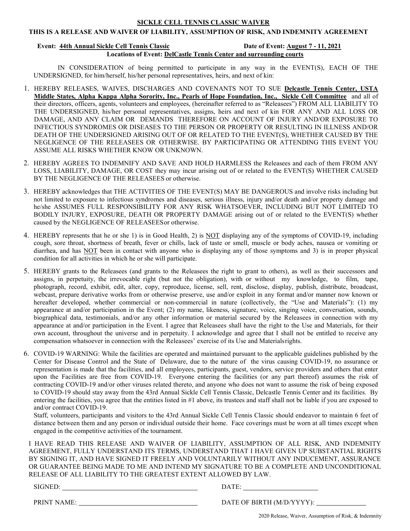# SICKLE CELL TENNIS CLASSIC WAIVER

## THIS IS A RELEASE AND WAIVER OF LIABILITY, ASSUMPTION OF RISK, AND INDEMNITY AGREEMENT

### Event: 44th Annual Sickle Cell Tennis Classic Date of Event: August 7 - 11, 2021

Locations of Event: DelCastle Tennis Center and surrounding courts

IN CONSIDERATION of being permitted to participate in any way in the EVENT(S), EACH OF THE UNDERSIGNED, for him/herself, his/her personal representatives, heirs, and next of kin:

- 1. HEREBY RELEASES, WAIVES, DISCHARGES AND COVENANTS NOT TO SUE Delcastle Tennis Center, USTA Middle States, Alpha Kappa Alpha Sorority, Inc., Pearls of Hope Foundation, Inc., Sickle Cell Committee and all of their directors, officers, agents, volunteers and employees, (hereinafter referred to as "Releasees") FROM ALL LIABILITY TO THE UNDERSIGNED, his/her personal representatives, assigns, heirs and next of kin FOR ANY AND ALL LOSS OR DAMAGE, AND ANY CLAIM OR DEMANDS THEREFORE ON ACCOUNT OF INJURY AND/OR EXPOSURE TO INFECTIOUS SYNDROMES OR DISEASES TO THE PERSON OR PROPERTY OR RESULTING IN ILLNESS AND/OR DEATH OF THE UNDERSIGNED ARISING OUT OF OR RELATED TO THE EVENT(S), WHETHER CAUSED BY THE NEGLIGENCE OF THE RELEASEES OR OTHERWISE. BY PARTICIPATING OR ATTENDING THIS EVENT YOU ASSUME ALL RISKS WHETHER KNOW OR UNKNOWN.
- 2. HEREBY AGREES TO INDEMNIFY AND SAVE AND HOLD HARMLESS the Releasees and each of them FROM ANY LOSS, LIABILITY, DAMAGE, OR COST they may incur arising out of or related to the EVENT(S) WHETHER CAUSED BY THE NEGLIGENCE OF THE RELEASEES or otherwise.
- 3. HEREBY acknowledges that THE ACTIVITIES OF THE EVENT(S) MAY BE DANGEROUS and involve risks including but not limited to exposure to infectious syndromes and diseases, serious illness, injury and/or death and/or property damage and he/she ASSUMES FULL RESPONSIBILITY FOR ANY RISK WHATSOEVER, INCLUDING BUT NOT LIMITED TO BODILY INJURY, EXPOSURE, DEATH OR PROPERTY DAMAGE arising out of or related to the EVENT(S) whether caused by the NEGLIGENCE OF RELEASEES or otherwise.
- 4. HEREBY represents that he or she 1) is in Good Health, 2) is NOT displaying any of the symptoms of COVID-19, including cough, sore throat, shortness of breath, fever or chills, lack of taste or smell, muscle or body aches, nausea or vomiting or diarrhea, and has NOT been in contact with anyone who is displaying any of those symptoms and 3) is in proper physical condition for all activities in which he or she will participate.
- 5. HEREBY grants to the Releasees (and grants to the Releasees the right to grant to others), as well as their successors and assigns, in perpetuity, the irrevocable right (but not the obligation), with or without my knowledge, to film, tape, photograph, record, exhibit, edit, alter, copy, reproduce, license, sell, rent, disclose, display, publish, distribute, broadcast, webcast, prepare derivative works from or otherwise preserve, use and/or exploit in any format and/or manner now known or hereafter developed, whether commercial or non-commercial in nature (collectively, the "Use and Materials"): (1) my appearance at and/or participation in the Event; (2) my name, likeness, signature, voice, singing voice, conversation, sounds, biographical data, testimonials, and/or any other information or material secured by the Releasees in connection with my appearance at and/or participation in the Event. I agree that Releasees shall have the right to the Use and Materials, for their own account, throughout the universe and in perpetuity. I acknowledge and agree that I shall not be entitled to receive any compensation whatsoever in connection with the Releasees' exercise of its Use and Materials rights.
- 6. COVID-19 WARNING: While the facilities are operated and maintained pursuant to the applicable guidelines published by the Center for Disease Control and the State of Delaware, due to the nature of the virus causing COVID-19, no assurance or representation is made that the facilities, and all employees, participants, guest, vendors, service providers and others that enter upon the Facilities are free from COVID-19. Everyone entering the facilities (or any part thereof) assumes the risk of contracting COVID-19 and/or other viruses related thereto, and anyone who does not want to assume the risk of being exposed to COVID-19 should stay away from the 43rd Annual Sickle Cell Tennis Classic, Delcastle Tennis Center and its facilities. By entering the facilities, you agree that the entities listed in #1 above, its trustees and staff shall not be liable if you are exposed to and/or contract COVID-19.

Staff, volunteers, participants and visitors to the 43rd Annual Sickle Cell Tennis Classic should endeavor to maintain 6 feet of distance between them and any person or individual outside their home. Face coverings must be worn at all times except when engaged in the competitive activities of the tournament.

I HAVE READ THIS RELEASE AND WAIVER OF LIABILITY, ASSUMPTION OF ALL RISK, AND INDEMNITY AGREEMENT, FULLY UNDERSTAND ITS TERMS, UNDERSTAND THAT I HAVE GIVEN UP SUBSTANTIAL RIGHTS BY SIGNING IT, AND HAVE SIGNED IT FREELY AND VOLUNTARILY WITHOUT ANY INDUCEMENT, ASSURANCE OR GUARANTEE BEING MADE TO ME AND INTEND MY SIGNATURE TO BE A COMPLETE AND UNCONDITIONAL RELEASE OF ALL LIABILITY TO THE GREATEST EXTENT ALLOWED BY LAW.

SIGNED: DATE:

PRINT NAME: DATE OF BIRTH (M/D/YYYY):